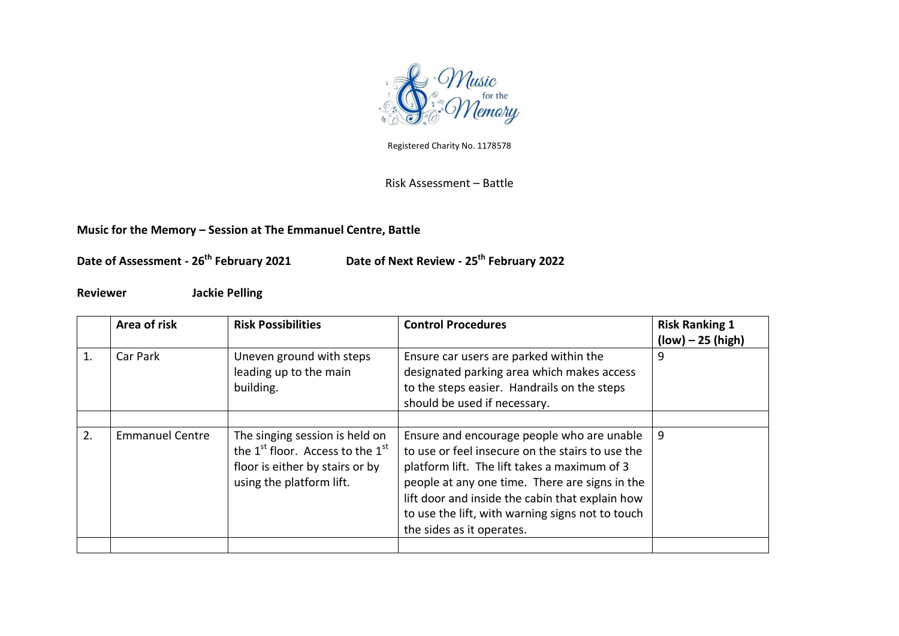

Registered Charity No. 1178578

Risk Assessment – Battle

## **Music for the Memory – Session at The Emmanuel Centre, Battle**

**Date of Assessment - 26th February 2021 Date of Next Review - 25th February 2022**

**Reviewer Jackie Pelling**

|    | Area of risk           | <b>Risk Possibilities</b>                                                                                                                                 | <b>Control Procedures</b>                                                                                                                                                                                                                                                                                                            | <b>Risk Ranking 1</b><br>$(low) - 25 (high)$ |
|----|------------------------|-----------------------------------------------------------------------------------------------------------------------------------------------------------|--------------------------------------------------------------------------------------------------------------------------------------------------------------------------------------------------------------------------------------------------------------------------------------------------------------------------------------|----------------------------------------------|
| 1. | Car Park               | Uneven ground with steps<br>leading up to the main<br>building.                                                                                           | Ensure car users are parked within the<br>designated parking area which makes access<br>to the steps easier. Handrails on the steps<br>should be used if necessary.                                                                                                                                                                  | 9                                            |
| 2. | <b>Emmanuel Centre</b> | The singing session is held on<br>the 1 <sup>st</sup> floor. Access to the 1 <sup>st</sup><br>floor is either by stairs or by<br>using the platform lift. | Ensure and encourage people who are unable<br>to use or feel insecure on the stairs to use the<br>platform lift. The lift takes a maximum of 3<br>people at any one time. There are signs in the<br>lift door and inside the cabin that explain how<br>to use the lift, with warning signs not to touch<br>the sides as it operates. | 9                                            |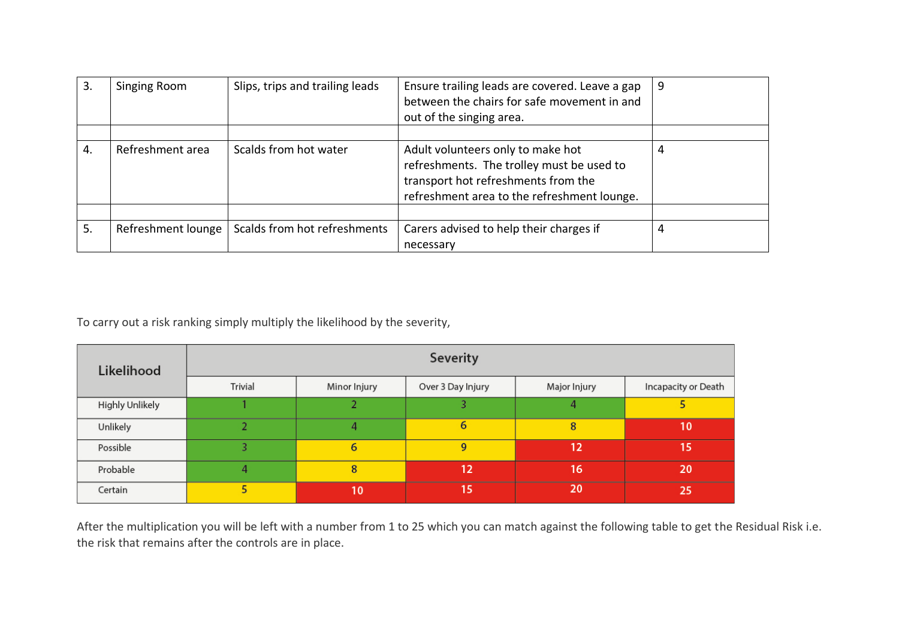| 3. | Singing Room                              | Slips, trips and trailing leads | Ensure trailing leads are covered. Leave a gap<br>between the chairs for safe movement in and<br>out of the singing area.                                            | 9 |
|----|-------------------------------------------|---------------------------------|----------------------------------------------------------------------------------------------------------------------------------------------------------------------|---|
| 4. | Refreshment area<br>Scalds from hot water |                                 | Adult volunteers only to make hot<br>refreshments. The trolley must be used to<br>transport hot refreshments from the<br>refreshment area to the refreshment lounge. |   |
|    |                                           |                                 |                                                                                                                                                                      |   |
| 5. | Refreshment lounge                        | Scalds from hot refreshments    | Carers advised to help their charges if<br>necessary                                                                                                                 | 4 |

To carry out a risk ranking simply multiply the likelihood by the severity,

| Likelihood      | Severity |              |                   |              |                     |  |  |
|-----------------|----------|--------------|-------------------|--------------|---------------------|--|--|
|                 | Trivial  | Minor Injury | Over 3 Day Injury | Major Injury | Incapacity or Death |  |  |
| Highly Unlikely |          |              |                   | 4            |                     |  |  |
| Unlikely        |          | Д            | 6                 | 8            | 10                  |  |  |
| Possible        |          | 6            | 9                 | 12           | 15                  |  |  |
| Probable        |          | 8            | 12                | 16           | 20                  |  |  |
| Certain         |          | 10           | 15                | 20           | 25                  |  |  |

After the multiplication you will be left with a number from 1 to 25 which you can match against the following table to get the Residual Risk i.e. the risk that remains after the controls are in place.